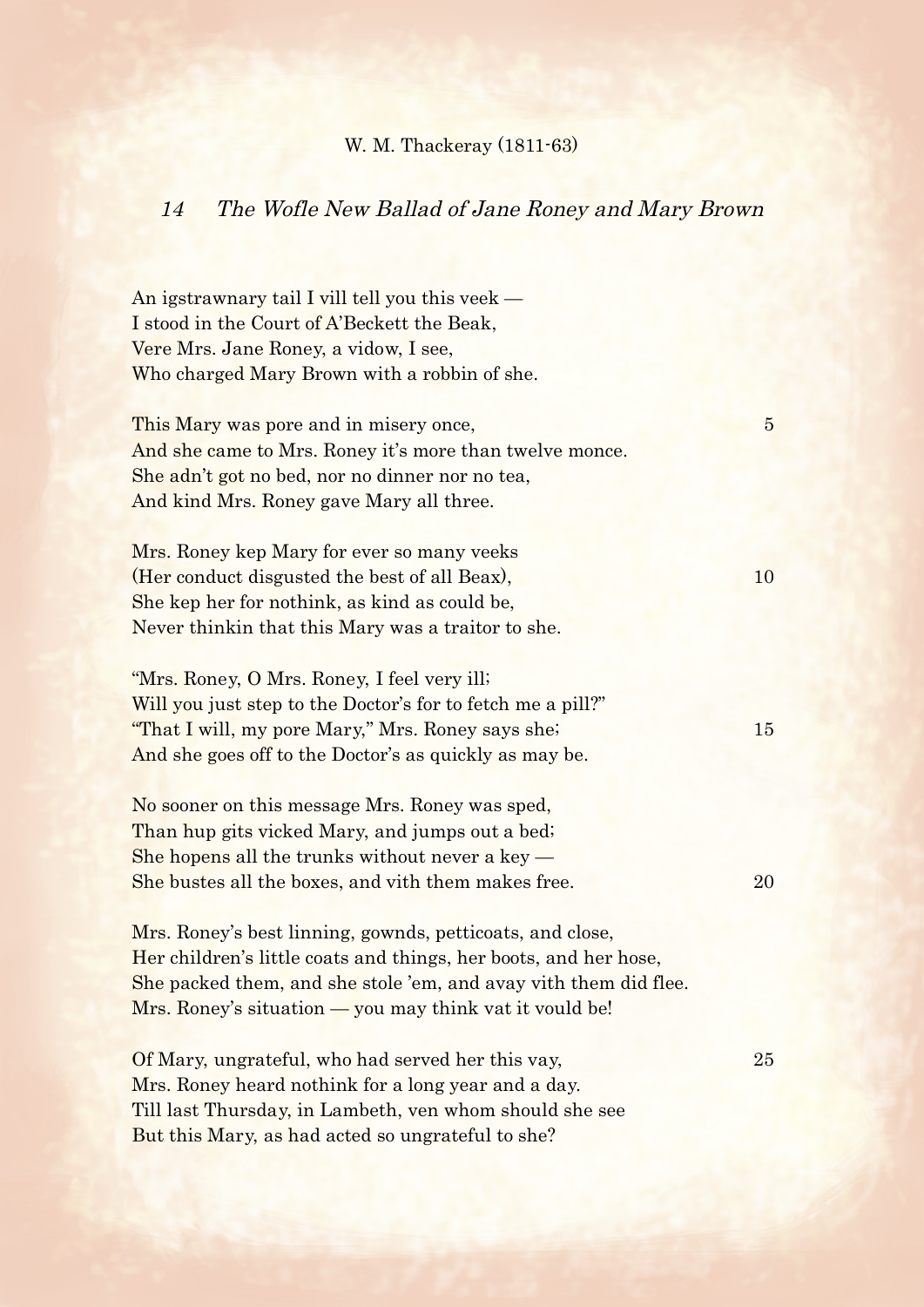## W. M. Thackeray (1811-63)

## 14 The Wofle New Ballad of Jane Roney and Mary Brown

An igstrawnary tail I vill tell you this veek — I stood in the Court of A'Beckett the Beak, Vere Mrs. Jane Roney, a vidow, I see, Who charged Mary Brown with a robbin of she.

This Mary was pore and in misery once, This Mary was pore and in misery once, And she came to Mrs. Roney it's more than twelve monce. She adn't got no bed, nor no dinner nor no tea, And kind Mrs. Roney gave Mary all three.

Mrs. Roney kep Mary for ever so many veeks (Her conduct disgusted the best of all Beax), 10 She kep her for nothink, as kind as could be, Never thinkin that this Mary was a traitor to she.

"Mrs. Roney, O Mrs. Roney, I feel very ill; Will you just step to the Doctor's for to fetch me a pill?" "That I will, my pore Mary," Mrs. Roney says she; 15 And she goes off to the Doctor's as quickly as may be.

No sooner on this message Mrs. Roney was sped, Than hup gits vicked Mary, and jumps out a bed; She hopens all the trunks without never a key — She bustes all the boxes, and vith them makes free. 20

Mrs. Roney's best linning, gownds, petticoats, and close, Her children's little coats and things, her boots, and her hose, She packed them, and she stole 'em, and avay vith them did flee. Mrs. Roney's situation — you may think vat it vould be!

Of Mary, ungrateful, who had served her this vay, 25 Mrs. Roney heard nothink for a long year and a day. Till last Thursday, in Lambeth, ven whom should she see But this Mary, as had acted so ungrateful to she?